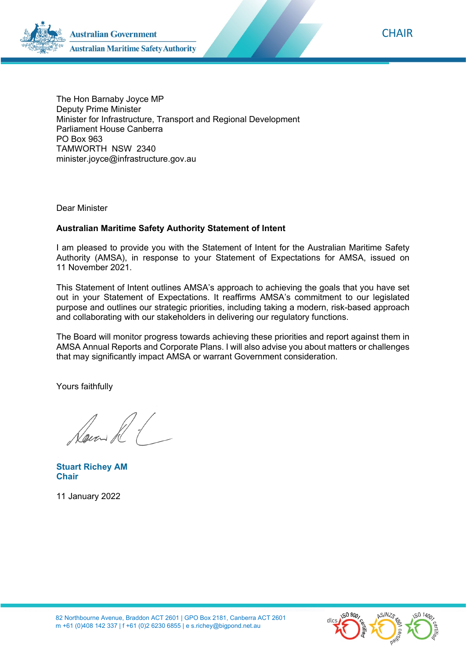

The Hon Barnaby Joyce MP Deputy Prime Minister Minister for Infrastructure, Transport and Regional Development Parliament House Canberra PO Box 963 TAMWORTH NSW 2340 minister.joyce@infrastructure.gov.au

Dear Minister

#### **Australian Maritime Safety Authority Statement of Intent**

I am pleased to provide you with the Statement of Intent for the Australian Maritime Safety Authority (AMSA), in response to your Statement of Expectations for AMSA, issued on 11 November 2021.

This Statement of Intent outlines AMSA's approach to achieving the goals that you have set out in your Statement of Expectations. It reaffirms AMSA's commitment to our legislated purpose and outlines our strategic priorities, including taking a modern, risk-based approach and collaborating with our stakeholders in delivering our regulatory functions.

The Board will monitor progress towards achieving these priorities and report against them in AMSA Annual Reports and Corporate Plans. I will also advise you about matters or challenges that may significantly impact AMSA or warrant Government consideration.

Yours faithfully

Cens R (

**Stuart Richey AM Chair** 

11 January 2022

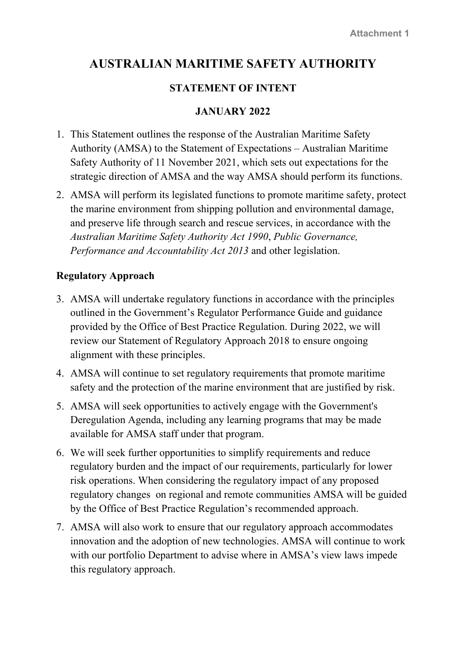# **AUSTRALIAN MARITIME SAFETY AUTHORITY**

# **STATEMENT OF INTENT**

#### **JANUARY 2022**

- 1. This Statement outlines the response of the Australian Maritime Safety Authority (AMSA) to the Statement of Expectations – Australian Maritime Safety Authority of 11 November 2021, which sets out expectations for the strategic direction of AMSA and the way AMSA should perform its functions.
- 2. AMSA will perform its legislated functions to promote maritime safety, protect the marine environment from shipping pollution and environmental damage, and preserve life through search and rescue services, in accordance with the *Australian Maritime Safety Authority Act 1990*, *Public Governance, Performance and Accountability Act 2013* and other legislation.

## **Regulatory Approach**

- 3. AMSA will undertake regulatory functions in accordance with the principles outlined in the Government's Regulator Performance Guide and guidance provided by the Office of Best Practice Regulation. During 2022, we will review our Statement of Regulatory Approach 2018 to ensure ongoing alignment with these principles.
- 4. AMSA will continue to set regulatory requirements that promote maritime safety and the protection of the marine environment that are justified by risk.
- 5. AMSA will seek opportunities to actively engage with the Government's Deregulation Agenda, including any learning programs that may be made available for AMSA staff under that program.
- 6. We will seek further opportunities to simplify requirements and reduce regulatory burden and the impact of our requirements, particularly for lower risk operations. When considering the regulatory impact of any proposed regulatory changes on regional and remote communities AMSA will be guided by the Office of Best Practice Regulation's recommended approach.
- 7. AMSA will also work to ensure that our regulatory approach accommodates innovation and the adoption of new technologies. AMSA will continue to work with our portfolio Department to advise where in AMSA's view laws impede this regulatory approach.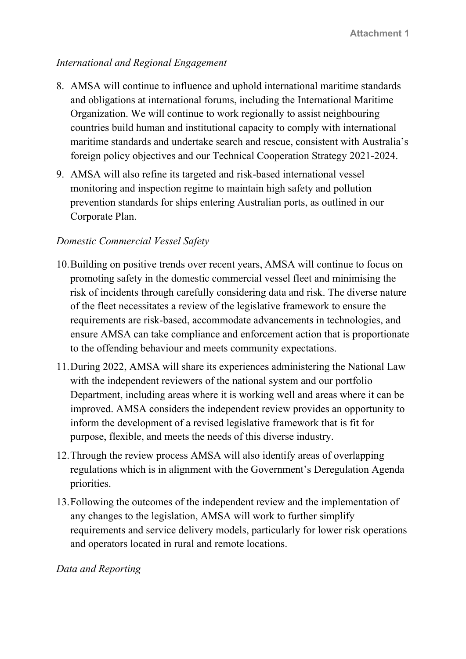## *International and Regional Engagement*

- 8. AMSA will continue to influence and uphold international maritime standards and obligations at international forums, including the International Maritime Organization. We will continue to work regionally to assist neighbouring countries build human and institutional capacity to comply with international maritime standards and undertake search and rescue, consistent with Australia's foreign policy objectives and our Technical Cooperation Strategy 2021-2024.
- 9. AMSA will also refine its targeted and risk-based international vessel monitoring and inspection regime to maintain high safety and pollution prevention standards for ships entering Australian ports, as outlined in our Corporate Plan.

#### *Domestic Commercial Vessel Safety*

- 10.Building on positive trends over recent years, AMSA will continue to focus on promoting safety in the domestic commercial vessel fleet and minimising the risk of incidents through carefully considering data and risk. The diverse nature of the fleet necessitates a review of the legislative framework to ensure the requirements are risk-based, accommodate advancements in technologies, and ensure AMSA can take compliance and enforcement action that is proportionate to the offending behaviour and meets community expectations.
- 11.During 2022, AMSA will share its experiences administering the National Law with the independent reviewers of the national system and our portfolio Department, including areas where it is working well and areas where it can be improved. AMSA considers the independent review provides an opportunity to inform the development of a revised legislative framework that is fit for purpose, flexible, and meets the needs of this diverse industry.
- 12.Through the review process AMSA will also identify areas of overlapping regulations which is in alignment with the Government's Deregulation Agenda priorities.
- 13.Following the outcomes of the independent review and the implementation of any changes to the legislation, AMSA will work to further simplify requirements and service delivery models, particularly for lower risk operations and operators located in rural and remote locations.

#### *Data and Reporting*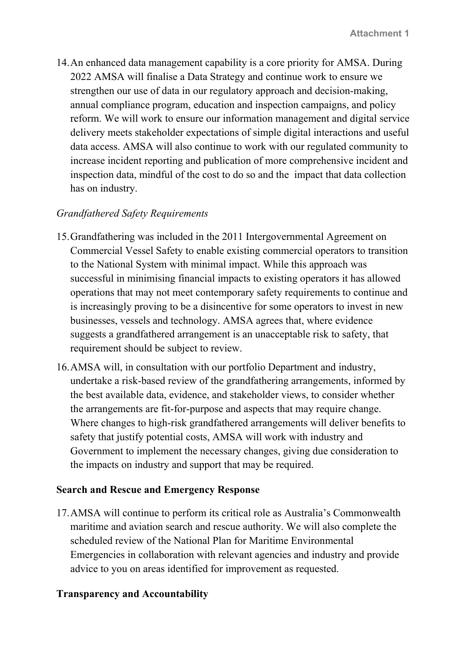14.An enhanced data management capability is a core priority for AMSA. During 2022 AMSA will finalise a Data Strategy and continue work to ensure we strengthen our use of data in our regulatory approach and decision-making, annual compliance program, education and inspection campaigns, and policy reform. We will work to ensure our information management and digital service delivery meets stakeholder expectations of simple digital interactions and useful data access. AMSA will also continue to work with our regulated community to increase incident reporting and publication of more comprehensive incident and inspection data, mindful of the cost to do so and the impact that data collection has on industry.

#### *Grandfathered Safety Requirements*

- 15.Grandfathering was included in the 2011 Intergovernmental Agreement on Commercial Vessel Safety to enable existing commercial operators to transition to the National System with minimal impact. While this approach was successful in minimising financial impacts to existing operators it has allowed operations that may not meet contemporary safety requirements to continue and is increasingly proving to be a disincentive for some operators to invest in new businesses, vessels and technology. AMSA agrees that, where evidence suggests a grandfathered arrangement is an unacceptable risk to safety, that requirement should be subject to review.
- 16.AMSA will, in consultation with our portfolio Department and industry, undertake a risk-based review of the grandfathering arrangements, informed by the best available data, evidence, and stakeholder views, to consider whether the arrangements are fit-for-purpose and aspects that may require change. Where changes to high-risk grandfathered arrangements will deliver benefits to safety that justify potential costs, AMSA will work with industry and Government to implement the necessary changes, giving due consideration to the impacts on industry and support that may be required.

#### **Search and Rescue and Emergency Response**

17.AMSA will continue to perform its critical role as Australia's Commonwealth maritime and aviation search and rescue authority. We will also complete the scheduled review of the National Plan for Maritime Environmental Emergencies in collaboration with relevant agencies and industry and provide advice to you on areas identified for improvement as requested.

#### **Transparency and Accountability**